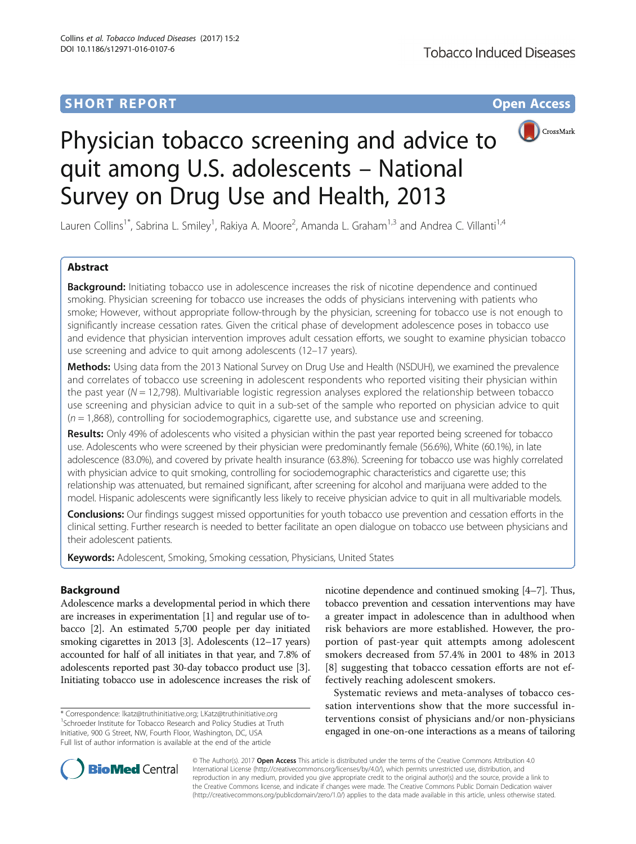# **SHORT REPORT SHORT CONSUMING THE CONSUMING THE CONSUMING THE CONSUMING THE CONSUMING THE CONSUMING THE CONSUMING THE CONSUMING THE CONSUMING THE CONSUMING THE CONSUMING THE CONSUMING THE CONSUMING THE CONSUMING THE CONS**



# Physician tobacco screening and advice to quit among U.S. adolescents – National Survey on Drug Use and Health, 2013

Lauren Collins<sup>1\*</sup>, Sabrina L. Smiley<sup>1</sup>, Rakiya A. Moore<sup>2</sup>, Amanda L. Graham<sup>1,3</sup> and Andrea C. Villanti<sup>1,4</sup>

# Abstract

**Background:** Initiating tobacco use in adolescence increases the risk of nicotine dependence and continued smoking. Physician screening for tobacco use increases the odds of physicians intervening with patients who smoke; However, without appropriate follow-through by the physician, screening for tobacco use is not enough to significantly increase cessation rates. Given the critical phase of development adolescence poses in tobacco use and evidence that physician intervention improves adult cessation efforts, we sought to examine physician tobacco use screening and advice to quit among adolescents (12–17 years).

Methods: Using data from the 2013 National Survey on Drug Use and Health (NSDUH), we examined the prevalence and correlates of tobacco use screening in adolescent respondents who reported visiting their physician within the past year ( $N = 12,798$ ). Multivariable logistic regression analyses explored the relationship between tobacco use screening and physician advice to quit in a sub-set of the sample who reported on physician advice to quit  $(n = 1,868)$ , controlling for sociodemographics, cigarette use, and substance use and screening.

Results: Only 49% of adolescents who visited a physician within the past year reported being screened for tobacco use. Adolescents who were screened by their physician were predominantly female (56.6%), White (60.1%), in late adolescence (83.0%), and covered by private health insurance (63.8%). Screening for tobacco use was highly correlated with physician advice to quit smoking, controlling for sociodemographic characteristics and cigarette use; this relationship was attenuated, but remained significant, after screening for alcohol and marijuana were added to the model. Hispanic adolescents were significantly less likely to receive physician advice to quit in all multivariable models.

**Conclusions:** Our findings suggest missed opportunities for youth tobacco use prevention and cessation efforts in the clinical setting. Further research is needed to better facilitate an open dialogue on tobacco use between physicians and their adolescent patients.

Keywords: Adolescent, Smoking, Smoking cessation, Physicians, United States

# Background

Adolescence marks a developmental period in which there are increases in experimentation [[1\]](#page-5-0) and regular use of tobacco [[2\]](#page-5-0). An estimated 5,700 people per day initiated smoking cigarettes in 2013 [\[3](#page-5-0)]. Adolescents (12–17 years) accounted for half of all initiates in that year, and 7.8% of adolescents reported past 30-day tobacco product use [[3](#page-5-0)]. Initiating tobacco use in adolescence increases the risk of

\* Correspondence: [lkatz@truthinitiative.org](mailto:lkatz@truthinitiative.org); [LKatz@truthinitiative.org](mailto:LKatz@truthinitiative.org) <sup>1</sup>  $1$ Schroeder Institute for Tobacco Research and Policy Studies at Truth Initiative, 900 G Street, NW, Fourth Floor, Washington, DC, USA Full list of author information is available at the end of the article

nicotine dependence and continued smoking [\[4](#page-5-0)–[7\]](#page-5-0). Thus, tobacco prevention and cessation interventions may have a greater impact in adolescence than in adulthood when risk behaviors are more established. However, the proportion of past-year quit attempts among adolescent smokers decreased from 57.4% in 2001 to 48% in 2013 [[8\]](#page-5-0) suggesting that tobacco cessation efforts are not effectively reaching adolescent smokers.

Systematic reviews and meta-analyses of tobacco cessation interventions show that the more successful interventions consist of physicians and/or non-physicians engaged in one-on-one interactions as a means of tailoring



© The Author(s). 2017 **Open Access** This article is distributed under the terms of the Creative Commons Attribution 4.0 International License [\(http://creativecommons.org/licenses/by/4.0/](http://creativecommons.org/licenses/by/4.0/)), which permits unrestricted use, distribution, and reproduction in any medium, provided you give appropriate credit to the original author(s) and the source, provide a link to the Creative Commons license, and indicate if changes were made. The Creative Commons Public Domain Dedication waiver [\(http://creativecommons.org/publicdomain/zero/1.0/](http://creativecommons.org/publicdomain/zero/1.0/)) applies to the data made available in this article, unless otherwise stated.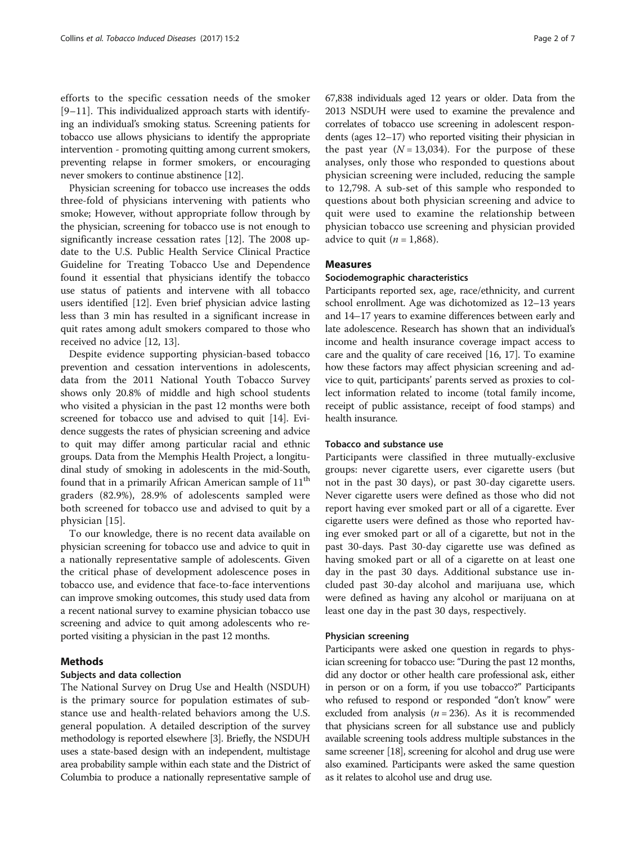efforts to the specific cessation needs of the smoker [[9](#page-5-0)–[11](#page-5-0)]. This individualized approach starts with identifying an individual's smoking status. Screening patients for tobacco use allows physicians to identify the appropriate intervention - promoting quitting among current smokers, preventing relapse in former smokers, or encouraging never smokers to continue abstinence [\[12\]](#page-5-0).

Physician screening for tobacco use increases the odds three-fold of physicians intervening with patients who smoke; However, without appropriate follow through by the physician, screening for tobacco use is not enough to significantly increase cessation rates [[12\]](#page-5-0). The 2008 update to the U.S. Public Health Service Clinical Practice Guideline for Treating Tobacco Use and Dependence found it essential that physicians identify the tobacco use status of patients and intervene with all tobacco users identified [\[12\]](#page-5-0). Even brief physician advice lasting less than 3 min has resulted in a significant increase in quit rates among adult smokers compared to those who received no advice [\[12](#page-5-0), [13](#page-5-0)].

Despite evidence supporting physician-based tobacco prevention and cessation interventions in adolescents, data from the 2011 National Youth Tobacco Survey shows only 20.8% of middle and high school students who visited a physician in the past 12 months were both screened for tobacco use and advised to quit [[14](#page-5-0)]. Evidence suggests the rates of physician screening and advice to quit may differ among particular racial and ethnic groups. Data from the Memphis Health Project, a longitudinal study of smoking in adolescents in the mid-South, found that in a primarily African American sample of 11<sup>th</sup> graders (82.9%), 28.9% of adolescents sampled were both screened for tobacco use and advised to quit by a physician [[15\]](#page-5-0).

To our knowledge, there is no recent data available on physician screening for tobacco use and advice to quit in a nationally representative sample of adolescents. Given the critical phase of development adolescence poses in tobacco use, and evidence that face-to-face interventions can improve smoking outcomes, this study used data from a recent national survey to examine physician tobacco use screening and advice to quit among adolescents who reported visiting a physician in the past 12 months.

## Methods

## Subjects and data collection

The National Survey on Drug Use and Health (NSDUH) is the primary source for population estimates of substance use and health-related behaviors among the U.S. general population. A detailed description of the survey methodology is reported elsewhere [[3](#page-5-0)]. Briefly, the NSDUH uses a state-based design with an independent, multistage area probability sample within each state and the District of Columbia to produce a nationally representative sample of 67,838 individuals aged 12 years or older. Data from the 2013 NSDUH were used to examine the prevalence and correlates of tobacco use screening in adolescent respondents (ages 12–17) who reported visiting their physician in the past year  $(N = 13,034)$ . For the purpose of these analyses, only those who responded to questions about physician screening were included, reducing the sample to 12,798. A sub-set of this sample who responded to questions about both physician screening and advice to quit were used to examine the relationship between physician tobacco use screening and physician provided advice to quit ( $n = 1,868$ ).

## Measures

#### Sociodemographic characteristics

Participants reported sex, age, race/ethnicity, and current school enrollment. Age was dichotomized as 12–13 years and 14–17 years to examine differences between early and late adolescence. Research has shown that an individual's income and health insurance coverage impact access to care and the quality of care received [[16](#page-5-0), [17](#page-5-0)]. To examine how these factors may affect physician screening and advice to quit, participants' parents served as proxies to collect information related to income (total family income, receipt of public assistance, receipt of food stamps) and health insurance.

### Tobacco and substance use

Participants were classified in three mutually-exclusive groups: never cigarette users, ever cigarette users (but not in the past 30 days), or past 30-day cigarette users. Never cigarette users were defined as those who did not report having ever smoked part or all of a cigarette. Ever cigarette users were defined as those who reported having ever smoked part or all of a cigarette, but not in the past 30-days. Past 30-day cigarette use was defined as having smoked part or all of a cigarette on at least one day in the past 30 days. Additional substance use included past 30-day alcohol and marijuana use, which were defined as having any alcohol or marijuana on at least one day in the past 30 days, respectively.

#### Physician screening

Participants were asked one question in regards to physician screening for tobacco use: "During the past 12 months, did any doctor or other health care professional ask, either in person or on a form, if you use tobacco?" Participants who refused to respond or responded "don't know" were excluded from analysis ( $n = 236$ ). As it is recommended that physicians screen for all substance use and publicly available screening tools address multiple substances in the same screener [\[18\]](#page-5-0), screening for alcohol and drug use were also examined. Participants were asked the same question as it relates to alcohol use and drug use.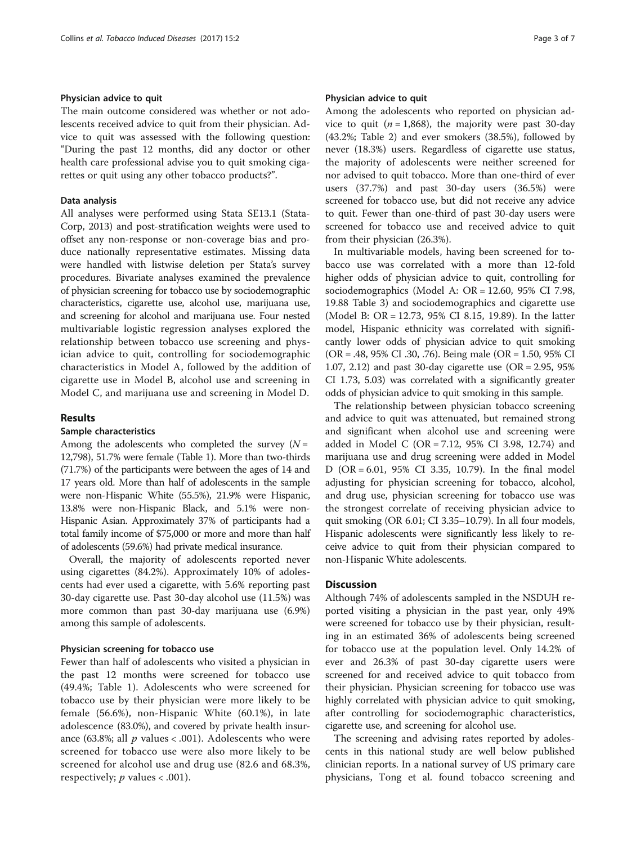#### Physician advice to quit

The main outcome considered was whether or not adolescents received advice to quit from their physician. Advice to quit was assessed with the following question: "During the past 12 months, did any doctor or other health care professional advise you to quit smoking cigarettes or quit using any other tobacco products?".

#### Data analysis

All analyses were performed using Stata SE13.1 (Stata-Corp, 2013) and post-stratification weights were used to offset any non-response or non-coverage bias and produce nationally representative estimates. Missing data were handled with listwise deletion per Stata's survey procedures. Bivariate analyses examined the prevalence of physician screening for tobacco use by sociodemographic characteristics, cigarette use, alcohol use, marijuana use, and screening for alcohol and marijuana use. Four nested multivariable logistic regression analyses explored the relationship between tobacco use screening and physician advice to quit, controlling for sociodemographic characteristics in Model A, followed by the addition of cigarette use in Model B, alcohol use and screening in Model C, and marijuana use and screening in Model D.

## Results

### Sample characteristics

Among the adolescents who completed the survey  $(N =$ 12,798), 51.7% were female (Table [1](#page-3-0)). More than two-thirds (71.7%) of the participants were between the ages of 14 and 17 years old. More than half of adolescents in the sample were non-Hispanic White (55.5%), 21.9% were Hispanic, 13.8% were non-Hispanic Black, and 5.1% were non-Hispanic Asian. Approximately 37% of participants had a total family income of \$75,000 or more and more than half of adolescents (59.6%) had private medical insurance.

Overall, the majority of adolescents reported never using cigarettes (84.2%). Approximately 10% of adolescents had ever used a cigarette, with 5.6% reporting past 30-day cigarette use. Past 30-day alcohol use (11.5%) was more common than past 30-day marijuana use (6.9%) among this sample of adolescents.

#### Physician screening for tobacco use

Fewer than half of adolescents who visited a physician in the past 12 months were screened for tobacco use (49.4%; Table [1](#page-3-0)). Adolescents who were screened for tobacco use by their physician were more likely to be female (56.6%), non-Hispanic White (60.1%), in late adolescence (83.0%), and covered by private health insurance (63.8%; all  $p$  values < .001). Adolescents who were screened for tobacco use were also more likely to be screened for alcohol use and drug use (82.6 and 68.3%, respectively;  $p$  values < .001).

#### Physician advice to quit

Among the adolescents who reported on physician advice to quit ( $n = 1,868$ ), the majority were past 30-day (43.2%; Table [2\)](#page-3-0) and ever smokers (38.5%), followed by never (18.3%) users. Regardless of cigarette use status, the majority of adolescents were neither screened for nor advised to quit tobacco. More than one-third of ever users (37.7%) and past 30-day users (36.5%) were screened for tobacco use, but did not receive any advice to quit. Fewer than one-third of past 30-day users were screened for tobacco use and received advice to quit from their physician (26.3%).

In multivariable models, having been screened for tobacco use was correlated with a more than 12-fold higher odds of physician advice to quit, controlling for sociodemographics (Model A: OR = 12.60, 95% CI 7.98, 19.88 Table [3\)](#page-4-0) and sociodemographics and cigarette use (Model B: OR = 12.73, 95% CI 8.15, 19.89). In the latter model, Hispanic ethnicity was correlated with significantly lower odds of physician advice to quit smoking (OR = .48, 95% CI .30, .76). Being male (OR = 1.50, 95% CI 1.07, 2.12) and past 30-day cigarette use (OR = 2.95, 95% CI 1.73, 5.03) was correlated with a significantly greater odds of physician advice to quit smoking in this sample.

The relationship between physician tobacco screening and advice to quit was attenuated, but remained strong and significant when alcohol use and screening were added in Model C (OR = 7.12, 95% CI 3.98, 12.74) and marijuana use and drug screening were added in Model D (OR = 6.01, 95% CI 3.35, 10.79). In the final model adjusting for physician screening for tobacco, alcohol, and drug use, physician screening for tobacco use was the strongest correlate of receiving physician advice to quit smoking (OR 6.01; CI 3.35–10.79). In all four models, Hispanic adolescents were significantly less likely to receive advice to quit from their physician compared to non-Hispanic White adolescents.

## **Discussion**

Although 74% of adolescents sampled in the NSDUH reported visiting a physician in the past year, only 49% were screened for tobacco use by their physician, resulting in an estimated 36% of adolescents being screened for tobacco use at the population level. Only 14.2% of ever and 26.3% of past 30-day cigarette users were screened for and received advice to quit tobacco from their physician. Physician screening for tobacco use was highly correlated with physician advice to quit smoking, after controlling for sociodemographic characteristics, cigarette use, and screening for alcohol use.

The screening and advising rates reported by adolescents in this national study are well below published clinician reports. In a national survey of US primary care physicians, Tong et al. found tobacco screening and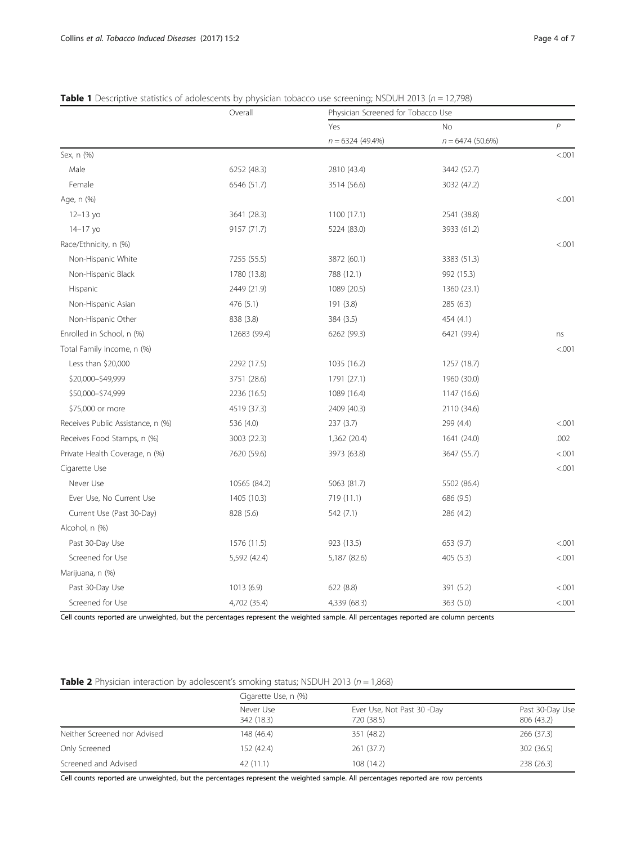|                                   | Overall      | Physician Screened for Tobacco Use |                   |                |  |  |
|-----------------------------------|--------------|------------------------------------|-------------------|----------------|--|--|
|                                   |              | Yes                                | No                | $\overline{P}$ |  |  |
|                                   |              | $n = 6324(49.4%)$                  | $n = 6474(50.6%)$ |                |  |  |
| Sex, n (%)                        |              |                                    |                   | < 0.001        |  |  |
| Male                              | 6252 (48.3)  | 2810 (43.4)                        | 3442 (52.7)       |                |  |  |
| Female                            | 6546 (51.7)  | 3514 (56.6)                        | 3032 (47.2)       |                |  |  |
| Age, n (%)                        |              |                                    |                   | < 0.001        |  |  |
| $12 - 13$ yo                      | 3641 (28.3)  | 1100 (17.1)                        | 2541 (38.8)       |                |  |  |
| 14-17 yo                          | 9157 (71.7)  | 5224 (83.0)                        | 3933 (61.2)       |                |  |  |
| Race/Ethnicity, n (%)             |              |                                    |                   | < 0.001        |  |  |
| Non-Hispanic White                | 7255 (55.5)  | 3872 (60.1)                        | 3383 (51.3)       |                |  |  |
| Non-Hispanic Black                | 1780 (13.8)  | 788 (12.1)                         | 992 (15.3)        |                |  |  |
| Hispanic                          | 2449 (21.9)  | 1089 (20.5)                        | 1360 (23.1)       |                |  |  |
| Non-Hispanic Asian                | 476 (5.1)    | 191 (3.8)                          | 285 (6.3)         |                |  |  |
| Non-Hispanic Other                | 838 (3.8)    | 384 (3.5)                          | 454 (4.1)         |                |  |  |
| Enrolled in School, n (%)         | 12683 (99.4) | 6262 (99.3)                        | 6421 (99.4)       | ns             |  |  |
| Total Family Income, n (%)        |              |                                    |                   | < .001         |  |  |
| Less than \$20,000                | 2292 (17.5)  | 1035 (16.2)                        | 1257 (18.7)       |                |  |  |
| \$20,000-\$49,999                 | 3751 (28.6)  | 1791 (27.1)                        | 1960 (30.0)       |                |  |  |
| \$50,000-\$74,999                 | 2236 (16.5)  | 1089 (16.4)                        | 1147 (16.6)       |                |  |  |
| \$75,000 or more                  | 4519 (37.3)  | 2409 (40.3)                        | 2110 (34.6)       |                |  |  |
| Receives Public Assistance, n (%) | 536 (4.0)    | 237(3.7)                           | 299 (4.4)         | < .001         |  |  |
| Receives Food Stamps, n (%)       | 3003 (22.3)  | 1,362 (20.4)                       | 1641 (24.0)       | .002           |  |  |
| Private Health Coverage, n (%)    | 7620 (59.6)  | 3973 (63.8)                        | 3647 (55.7)       | < .001         |  |  |
| Cigarette Use                     |              |                                    |                   | < .001         |  |  |
| Never Use                         | 10565 (84.2) | 5063 (81.7)                        | 5502 (86.4)       |                |  |  |
| Ever Use, No Current Use          | 1405 (10.3)  | 719 (11.1)                         | 686 (9.5)         |                |  |  |
| Current Use (Past 30-Day)         | 828 (5.6)    | 542 (7.1)                          | 286 (4.2)         |                |  |  |
| Alcohol, n (%)                    |              |                                    |                   |                |  |  |
| Past 30-Day Use                   | 1576 (11.5)  | 923 (13.5)                         | 653 (9.7)         | < .001         |  |  |
| Screened for Use                  | 5,592 (42.4) | 5,187 (82.6)                       | 405(5.3)          | < .001         |  |  |
| Marijuana, n (%)                  |              |                                    |                   |                |  |  |
| Past 30-Day Use                   | 1013 (6.9)   | 622 (8.8)                          | 391 (5.2)         | < .001         |  |  |
| Screened for Use                  | 4,702 (35.4) | 4,339 (68.3)                       | 363 (5.0)         | < .001         |  |  |

<span id="page-3-0"></span>**Table 1** Descriptive statistics of adolescents by physician tobacco use screening; NSDUH 2013 ( $n = 12,798$ )

Cell counts reported are unweighted, but the percentages represent the weighted sample. All percentages reported are column percents

## **Table 2** Physician interaction by adolescent's smoking status; NSDUH 2013 ( $n = 1,868$ )

|                              | Cigarette Use, n (%)    |                                          |                               |  |  |  |  |
|------------------------------|-------------------------|------------------------------------------|-------------------------------|--|--|--|--|
|                              | Never Use<br>342 (18.3) | Ever Use, Not Past 30 -Day<br>720 (38.5) | Past 30-Day Use<br>806 (43.2) |  |  |  |  |
| Neither Screened nor Advised | 148 (46.4)              | 351 (48.2)                               | 266 (37.3)                    |  |  |  |  |
| Only Screened                | 152 (42.4)              | 261(37.7)                                | 302 (36.5)                    |  |  |  |  |
| Screened and Advised         | 42(11.1)                | 108(14.2)                                | 238 (26.3)                    |  |  |  |  |

Cell counts reported are unweighted, but the percentages represent the weighted sample. All percentages reported are row percents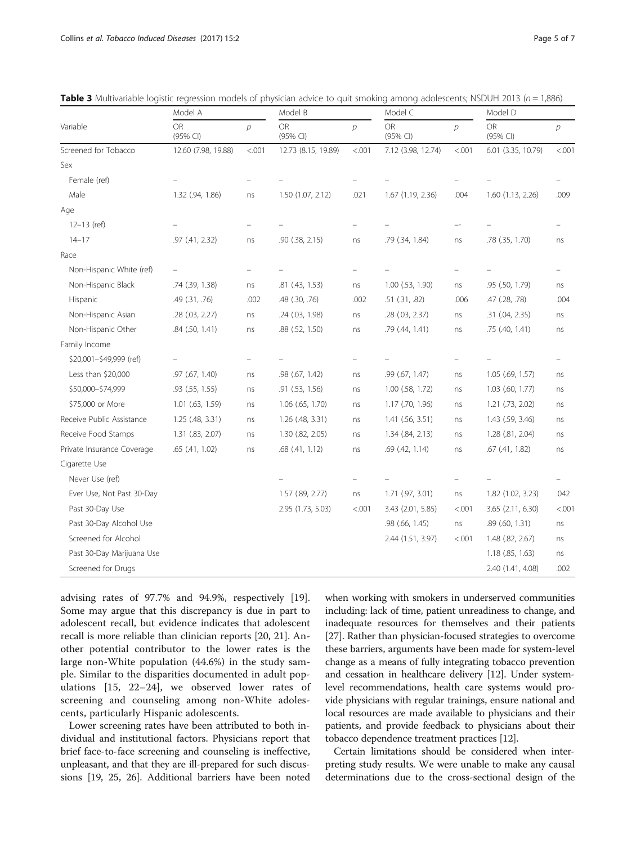|                            | Model A               |        | Model B               |               | Model C               |                | Model D               |                |
|----------------------------|-----------------------|--------|-----------------------|---------------|-----------------------|----------------|-----------------------|----------------|
| Variable                   | <b>OR</b><br>(95% CI) | р      | <b>OR</b><br>(95% CI) | $\mathcal{D}$ | <b>OR</b><br>(95% CI) | $\overline{p}$ | <b>OR</b><br>(95% CI) | $\overline{p}$ |
| Screened for Tobacco       | 12.60 (7.98, 19.88)   | < .001 | 12.73 (8.15, 19.89)   | < .001        | 7.12 (3.98, 12.74)    | < .001         | 6.01 (3.35, 10.79)    | < .001         |
| Sex                        |                       |        |                       |               |                       |                |                       |                |
| Female (ref)               |                       |        |                       |               |                       |                |                       |                |
| Male                       | 1.32 (.94, 1.86)      | ns     | 1.50 (1.07, 2.12)     | .021          | 1.67 (1.19, 2.36)     | .004           | 1.60 (1.13, 2.26)     | .009           |
| Age                        |                       |        |                       |               |                       |                |                       |                |
| $12 - 13$ (ref)            |                       |        |                       |               |                       |                |                       |                |
| $14 - 17$                  | .97 (.41, 2.32)       | ns     | .90 (.38, 2.15)       | ns            | .79 (.34, 1.84)       | ns             | .78 (.35, 1.70)       | ns             |
| Race                       |                       |        |                       |               |                       |                |                       |                |
| Non-Hispanic White (ref)   |                       |        |                       |               |                       |                |                       |                |
| Non-Hispanic Black         | .74 (.39, 1.38)       | ns     | .81 (.43, 1.53)       | ns            | 1.00 (.53, 1.90)      | ns             | .95 (.50, 1.79)       | ns             |
| Hispanic                   | .49 (.31, .76)        | .002   | .48 (.30, .76)        | .002          | $.51$ $(.31, .82)$    | .006           | .47 (.28, .78)        | .004           |
| Non-Hispanic Asian         | .28 (.03, 2.27)       | ns     | .24 (.03, 1.98)       | ns            | .28 (.03, 2.37)       | ns             | .31 (.04, 2.35)       | ns             |
| Non-Hispanic Other         | .84 (.50, 1.41)       | ns     | .88 (.52, 1.50)       | ns            | .79 (.44, 1.41)       | ns             | $.75$ (.40, 1.41)     | ns             |
| Family Income              |                       |        |                       |               |                       |                |                       |                |
| \$20,001-\$49,999 (ref)    |                       |        |                       |               |                       |                |                       |                |
| Less than \$20,000         | .97 (.67, 1.40)       | ns     | .98 (.67, 1.42)       | ns            | .99 (.67, 1.47)       | ns             | $1.05$ (.69, 1.57)    | ns             |
| \$50,000-\$74,999          | .93 (.55, 1.55)       | ns     | .91 (.53, 1.56)       | ns            | 1.00 (.58, 1.72)      | ns             | $1.03$ (.60, 1.77)    | ns             |
| \$75,000 or More           | $1.01$ (.63, 1.59)    | ns     | 1.06 (.65, 1.70)      | ns            | 1.17 (.70, 1.96)      | ns             | $1.21$ (.73, 2.02)    | ns             |
| Receive Public Assistance  | 1.25 (.48, 3.31)      | ns     | 1.26 (.48, 3.31)      | ns            | 1.41 (.56, 3.51)      | ns             | 1.43 (.59, 3.46)      | ns             |
| Receive Food Stamps        | 1.31 (.83, 2.07)      | ns     | 1.30 (.82, 2.05)      | ns            | 1.34 (.84, 2.13)      | ns             | 1.28 (.81, 2.04)      | ns             |
| Private Insurance Coverage | $.65$ $(.41, 1.02)$   | ns     | $.68$ $(.41, 1.12)$   | ns            | $.69$ $(.42, 1.14)$   | ns             | $.67$ $(.41, 1.82)$   | ns             |
| Cigarette Use              |                       |        |                       |               |                       |                |                       |                |
| Never Use (ref)            |                       |        |                       |               |                       |                |                       |                |
| Ever Use, Not Past 30-Day  |                       |        | 1.57 (.89, 2.77)      | ns            | 1.71 (.97, 3.01)      | ns             | 1.82 (1.02, 3.23)     | .042           |
| Past 30-Day Use            |                       |        | 2.95 (1.73, 5.03)     | < .001        | 3.43 (2.01, 5.85)     | < .001         | 3.65 (2.11, 6.30)     | < .001         |
| Past 30-Day Alcohol Use    |                       |        |                       |               | .98 (.66, 1.45)       | ns             | .89 (.60, 1.31)       | ns             |
| Screened for Alcohol       |                       |        |                       |               | 2.44 (1.51, 3.97)     | < .001         | 1.48 (.82, 2.67)      | ns             |
| Past 30-Day Marijuana Use  |                       |        |                       |               |                       |                | 1.18 (.85, 1.63)      | ns             |
| Screened for Drugs         |                       |        |                       |               |                       |                | 2.40 (1.41, 4.08)     | .002           |

<span id="page-4-0"></span>**Table 3** Multivariable logistic regression models of physician advice to quit smoking among adolescents; NSDUH 2013 ( $n = 1,886$ )

advising rates of 97.7% and 94.9%, respectively [\[19](#page-6-0)]. Some may argue that this discrepancy is due in part to adolescent recall, but evidence indicates that adolescent recall is more reliable than clinician reports [[20](#page-6-0), [21](#page-6-0)]. Another potential contributor to the lower rates is the large non-White population (44.6%) in the study sample. Similar to the disparities documented in adult populations [[15,](#page-5-0) [22](#page-6-0)–[24\]](#page-6-0), we observed lower rates of screening and counseling among non-White adolescents, particularly Hispanic adolescents.

Lower screening rates have been attributed to both individual and institutional factors. Physicians report that brief face-to-face screening and counseling is ineffective, unpleasant, and that they are ill-prepared for such discussions [\[19, 25](#page-6-0), [26\]](#page-6-0). Additional barriers have been noted when working with smokers in underserved communities including: lack of time, patient unreadiness to change, and inadequate resources for themselves and their patients [[27](#page-6-0)]. Rather than physician-focused strategies to overcome these barriers, arguments have been made for system-level change as a means of fully integrating tobacco prevention and cessation in healthcare delivery [\[12\]](#page-5-0). Under systemlevel recommendations, health care systems would provide physicians with regular trainings, ensure national and local resources are made available to physicians and their patients, and provide feedback to physicians about their tobacco dependence treatment practices [\[12\]](#page-5-0).

Certain limitations should be considered when interpreting study results. We were unable to make any causal determinations due to the cross-sectional design of the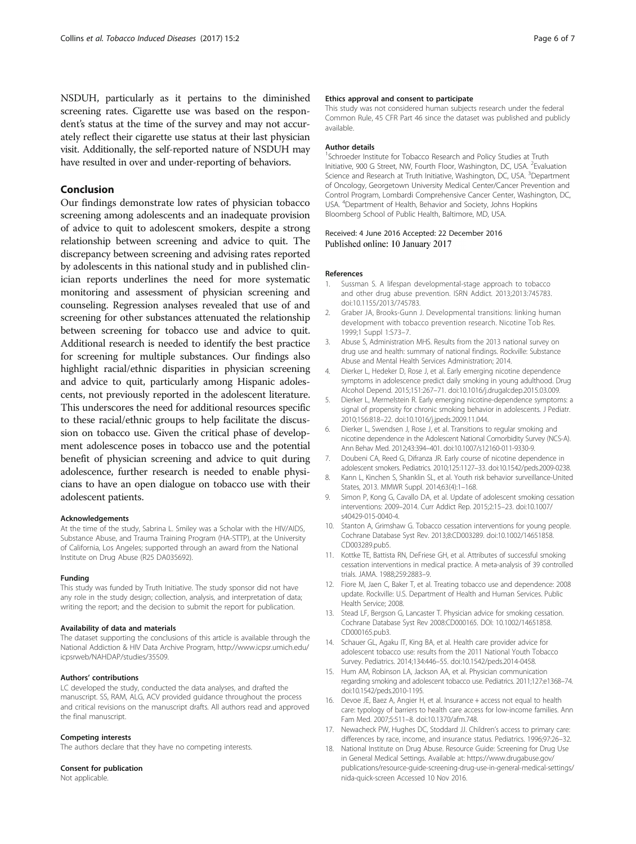<span id="page-5-0"></span>NSDUH, particularly as it pertains to the diminished screening rates. Cigarette use was based on the respondent's status at the time of the survey and may not accurately reflect their cigarette use status at their last physician visit. Additionally, the self-reported nature of NSDUH may have resulted in over and under-reporting of behaviors.

## Conclusion

Our findings demonstrate low rates of physician tobacco screening among adolescents and an inadequate provision of advice to quit to adolescent smokers, despite a strong relationship between screening and advice to quit. The discrepancy between screening and advising rates reported by adolescents in this national study and in published clinician reports underlines the need for more systematic monitoring and assessment of physician screening and counseling. Regression analyses revealed that use of and screening for other substances attenuated the relationship between screening for tobacco use and advice to quit. Additional research is needed to identify the best practice for screening for multiple substances. Our findings also highlight racial/ethnic disparities in physician screening and advice to quit, particularly among Hispanic adolescents, not previously reported in the adolescent literature. This underscores the need for additional resources specific to these racial/ethnic groups to help facilitate the discussion on tobacco use. Given the critical phase of development adolescence poses in tobacco use and the potential benefit of physician screening and advice to quit during adolescence, further research is needed to enable physicians to have an open dialogue on tobacco use with their adolescent patients.

#### Acknowledgements

At the time of the study, Sabrina L. Smiley was a Scholar with the HIV/AIDS, Substance Abuse, and Trauma Training Program (HA-STTP), at the University of California, Los Angeles; supported through an award from the National Institute on Drug Abuse (R25 DA035692).

#### Funding

This study was funded by Truth Initiative. The study sponsor did not have any role in the study design; collection, analysis, and interpretation of data; writing the report; and the decision to submit the report for publication.

#### Availability of data and materials

The dataset supporting the conclusions of this article is available through the National Addiction & HIV Data Archive Program, [http://www.icpsr.umich.edu/](http://www.icpsr.umich.edu/icpsrweb/NAHDAP/studies/35509) [icpsrweb/NAHDAP/studies/35509.](http://www.icpsr.umich.edu/icpsrweb/NAHDAP/studies/35509)

#### Authors' contributions

LC developed the study, conducted the data analyses, and drafted the manuscript. SS, RAM, ALG, ACV provided guidance throughout the process and critical revisions on the manuscript drafts. All authors read and approved the final manuscript.

#### Competing interests

The authors declare that they have no competing interests.

#### Consent for publication

Not applicable.

#### Ethics approval and consent to participate

This study was not considered human subjects research under the federal Common Rule, 45 CFR Part 46 since the dataset was published and publicly available.

#### Author details

<sup>1</sup>Schroeder Institute for Tobacco Research and Policy Studies at Truth Initiative, 900 G Street, NW, Fourth Floor, Washington, DC, USA. <sup>2</sup>Evaluation Science and Research at Truth Initiative, Washington, DC, USA. <sup>3</sup>Department of Oncology, Georgetown University Medical Center/Cancer Prevention and Control Program, Lombardi Comprehensive Cancer Center, Washington, DC, USA. <sup>4</sup> Department of Health, Behavior and Society, Johns Hopkins Bloomberg School of Public Health, Baltimore, MD, USA.

#### Received: 4 June 2016 Accepted: 22 December 2016 Published online: 10 January 2017

#### References

- 1. Sussman S. A lifespan developmental-stage approach to tobacco and other drug abuse prevention. ISRN Addict. 2013;2013:745783. doi[:10.1155/2013/745783.](http://dx.doi.org/10.1155/2013/745783)
- 2. Graber JA, Brooks-Gunn J. Developmental transitions: linking human development with tobacco prevention research. Nicotine Tob Res. 1999;1 Suppl 1:S73–7.
- 3. Abuse S, Administration MHS. Results from the 2013 national survey on drug use and health: summary of national findings. Rockville: Substance Abuse and Mental Health Services Administration; 2014.
- 4. Dierker L, Hedeker D, Rose J, et al. Early emerging nicotine dependence symptoms in adolescence predict daily smoking in young adulthood. Drug Alcohol Depend. 2015;151:267–71. doi[:10.1016/j.drugalcdep.2015.03.009.](http://dx.doi.org/10.1016/j.drugalcdep.2015.03.009)
- 5. Dierker L, Mermelstein R. Early emerging nicotine-dependence symptoms: a signal of propensity for chronic smoking behavior in adolescents. J Pediatr. 2010;156:818–22. doi[:10.1016/j.jpeds.2009.11.044](http://dx.doi.org/10.1016/j.jpeds.2009.11.044).
- 6. Dierker L, Swendsen J, Rose J, et al. Transitions to regular smoking and nicotine dependence in the Adolescent National Comorbidity Survey (NCS-A). Ann Behav Med. 2012;43:394–401. doi[:10.1007/s12160-011-9330-9](http://dx.doi.org/10.1007/s12160-011-9330-9).
- 7. Doubeni CA, Reed G, Difranza JR. Early course of nicotine dependence in adolescent smokers. Pediatrics. 2010;125:1127–33. doi:[10.1542/peds.2009-0238.](http://dx.doi.org/10.1542/peds.2009-0238)
- 8. Kann L, Kinchen S, Shanklin SL, et al. Youth risk behavior surveillance-United States, 2013. MMWR Suppl. 2014;63(4):1–168.
- 9. Simon P, Kong G, Cavallo DA, et al. Update of adolescent smoking cessation interventions: 2009–2014. Curr Addict Rep. 2015;2:15–23. doi:[10.1007/](http://dx.doi.org/10.1007/s40429-015-0040-4) [s40429-015-0040-4.](http://dx.doi.org/10.1007/s40429-015-0040-4)
- 10. Stanton A, Grimshaw G. Tobacco cessation interventions for young people. Cochrane Database Syst Rev. 2013;8:CD003289. doi[:10.1002/14651858.](http://dx.doi.org/10.1002/14651858.CD003289.pub5) [CD003289.pub5.](http://dx.doi.org/10.1002/14651858.CD003289.pub5)
- 11. Kottke TE, Battista RN, DeFriese GH, et al. Attributes of successful smoking cessation interventions in medical practice. A meta-analysis of 39 controlled trials. JAMA. 1988;259:2883–9.
- 12. Fiore M, Jaen C, Baker T, et al. Treating tobacco use and dependence: 2008 update. Rockville: U.S. Department of Health and Human Services. Public Health Service; 2008.
- 13. Stead LF, Bergson G, Lancaster T. Physician advice for smoking cessation. Cochrane Database Syst Rev 2008:CD000165. DOI: [10.1002/14651858.](http://dx.doi.org/10.1002/14651858.CD000165.pub3) [CD000165.pub3.](http://dx.doi.org/10.1002/14651858.CD000165.pub3)
- 14. Schauer GL, Agaku IT, King BA, et al. Health care provider advice for adolescent tobacco use: results from the 2011 National Youth Tobacco Survey. Pediatrics. 2014;134:446–55. doi:[10.1542/peds.2014-0458](http://dx.doi.org/10.1542/peds.2014-0458).
- 15. Hum AM, Robinson LA, Jackson AA, et al. Physician communication regarding smoking and adolescent tobacco use. Pediatrics. 2011;127:e1368–74. doi:[10.1542/peds.2010-1195.](http://dx.doi.org/10.1542/peds.2010-1195)
- 16. Devoe JE, Baez A, Angier H, et al. Insurance + access not equal to health care: typology of barriers to health care access for low-income families. Ann Fam Med. 2007;5:511–8. doi[:10.1370/afm.748.](http://dx.doi.org/10.1370/afm.748)
- 17. Newacheck PW, Hughes DC, Stoddard JJ. Children's access to primary care: differences by race, income, and insurance status. Pediatrics. 1996;97:26–32.
- 18. National Institute on Drug Abuse. Resource Guide: Screening for Drug Use in General Medical Settings. Available at: [https://www.drugabuse.gov/](https://www.drugabuse.gov/publications/resource-guide-screening-drug-use-in-general-medical-settings/nida-quick-screen) [publications/resource-guide-screening-drug-use-in-general-medical-settings/](https://www.drugabuse.gov/publications/resource-guide-screening-drug-use-in-general-medical-settings/nida-quick-screen) [nida-quick-screen](https://www.drugabuse.gov/publications/resource-guide-screening-drug-use-in-general-medical-settings/nida-quick-screen) Accessed 10 Nov 2016.